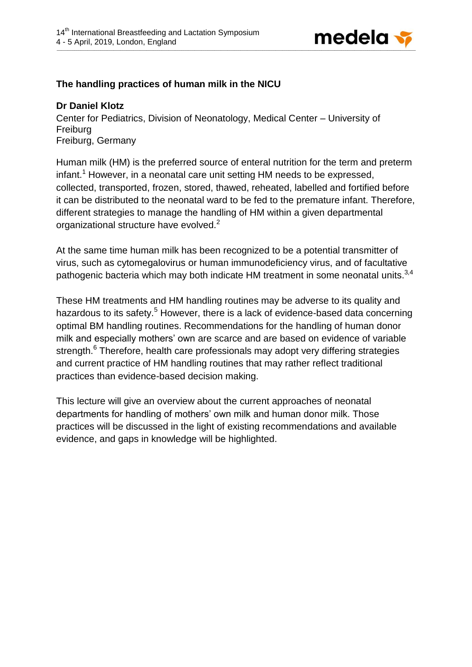

## **The handling practices of human milk in the NICU**

## **Dr Daniel Klotz**

Center for Pediatrics, Division of Neonatology, Medical Center – University of Freiburg Freiburg, Germany

Human milk (HM) is the preferred source of enteral nutrition for the term and preterm infant.<sup>1</sup> However, in a neonatal care unit setting HM needs to be expressed, collected, transported, frozen, stored, thawed, reheated, labelled and fortified before it can be distributed to the neonatal ward to be fed to the premature infant. Therefore, different strategies to manage the handling of HM within a given departmental organizational structure have evolved.<sup>2</sup>

At the same time human milk has been recognized to be a potential transmitter of virus, such as cytomegalovirus or human immunodeficiency virus, and of facultative pathogenic bacteria which may both indicate HM treatment in some neonatal units.<sup>3,4</sup>

These HM treatments and HM handling routines may be adverse to its quality and hazardous to its safety.<sup>5</sup> However, there is a lack of evidence-based data concerning optimal BM handling routines. Recommendations for the handling of human donor milk and especially mothers' own are scarce and are based on evidence of variable strength. $^6$  Therefore, health care professionals may adopt very differing strategies and current practice of HM handling routines that may rather reflect traditional practices than evidence-based decision making.

This lecture will give an overview about the current approaches of neonatal departments for handling of mothers' own milk and human donor milk. Those practices will be discussed in the light of existing recommendations and available evidence, and gaps in knowledge will be highlighted.